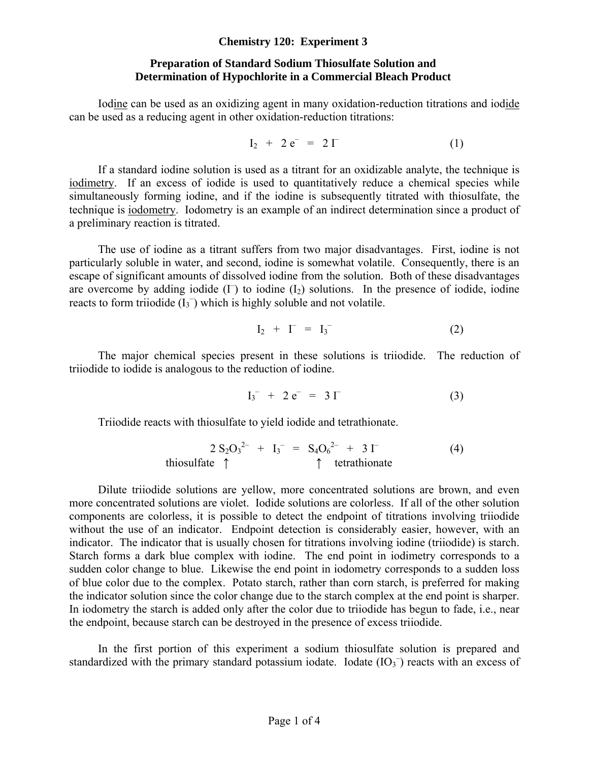#### **Chemistry 120: Experiment 3**

## **Preparation of Standard Sodium Thiosulfate Solution and Determination of Hypochlorite in a Commercial Bleach Product**

 Iodine can be used as an oxidizing agent in many oxidation-reduction titrations and iodide can be used as a reducing agent in other oxidation-reduction titrations:

$$
I_2 + 2 e^- = 2 \Gamma \tag{1}
$$

If a standard iodine solution is used as a titrant for an oxidizable analyte, the technique is iodimetry. If an excess of iodide is used to quantitatively reduce a chemical species while simultaneously forming iodine, and if the iodine is subsequently titrated with thiosulfate, the technique is iodometry. Iodometry is an example of an indirect determination since a product of a preliminary reaction is titrated.

The use of iodine as a titrant suffers from two major disadvantages. First, iodine is not particularly soluble in water, and second, iodine is somewhat volatile. Consequently, there is an escape of significant amounts of dissolved iodine from the solution. Both of these disadvantages are overcome by adding iodide  $(I<sup>T</sup>)$  to iodine  $(I<sub>2</sub>)$  solutions. In the presence of iodide, iodine reacts to form triiodide  $(I_3^-)$  which is highly soluble and not volatile.

$$
\mathrm{I}_2 + \mathrm{I}^- = \mathrm{I}_3^- \tag{2}
$$

The major chemical species present in these solutions is triiodide. The reduction of triiodide to iodide is analogous to the reduction of iodine.

$$
I_3^- + 2 e^- = 3 \Gamma \tag{3}
$$

Triiodide reacts with thiosulfate to yield iodide and tetrathionate.

$$
2 S_2 O_3^{2-} + I_3^{-} = S_4 O_6^{2-} + 3 \Gamma
$$
 (4)  
thiosulfate  $\uparrow$   $\uparrow$  tetrahionate

Dilute triiodide solutions are yellow, more concentrated solutions are brown, and even more concentrated solutions are violet. Iodide solutions are colorless. If all of the other solution components are colorless, it is possible to detect the endpoint of titrations involving triiodide without the use of an indicator. Endpoint detection is considerably easier, however, with an indicator. The indicator that is usually chosen for titrations involving iodine (triiodide) is starch. Starch forms a dark blue complex with iodine. The end point in iodimetry corresponds to a sudden color change to blue. Likewise the end point in iodometry corresponds to a sudden loss of blue color due to the complex. Potato starch, rather than corn starch, is preferred for making the indicator solution since the color change due to the starch complex at the end point is sharper. In iodometry the starch is added only after the color due to triiodide has begun to fade, i.e., near the endpoint, because starch can be destroyed in the presence of excess triiodide.

In the first portion of this experiment a sodium thiosulfate solution is prepared and standardized with the primary standard potassium iodate. Iodate  $(IO<sub>3</sub>^-)$  reacts with an excess of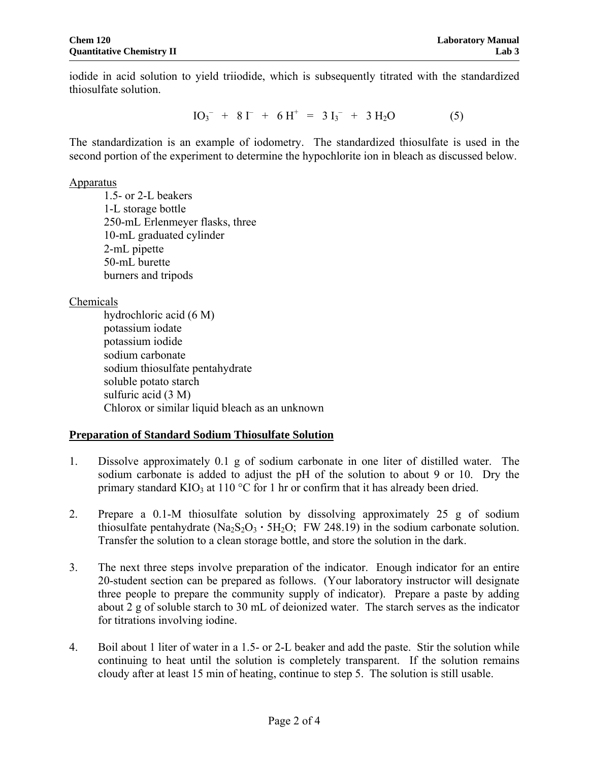iodide in acid solution to yield triiodide, which is subsequently titrated with the standardized thiosulfate solution.

$$
IO_3^- + 8I^- + 6H^+ = 3I_3^- + 3H_2O
$$
 (5)

The standardization is an example of iodometry. The standardized thiosulfate is used in the second portion of the experiment to determine the hypochlorite ion in bleach as discussed below.

#### Apparatus

1.5- or 2-L beakers 1-L storage bottle 250-mL Erlenmeyer flasks, three 10-mL graduated cylinder 2-mL pipette 50-mL burette burners and tripods

## Chemicals

hydrochloric acid (6 M) potassium iodate potassium iodide sodium carbonate sodium thiosulfate pentahydrate soluble potato starch sulfuric acid (3 M) Chlorox or similar liquid bleach as an unknown

## **Preparation of Standard Sodium Thiosulfate Solution**

- 1. Dissolve approximately 0.1 g of sodium carbonate in one liter of distilled water. The sodium carbonate is added to adjust the pH of the solution to about 9 or 10. Dry the primary standard KIO<sub>3</sub> at 110 °C for 1 hr or confirm that it has already been dried.
- 2. Prepare a 0.1-M thiosulfate solution by dissolving approximately 25 g of sodium thiosulfate pentahydrate  $(Na_2S_2O_3 \cdot 5H_2O)$ ; FW 248.19) in the sodium carbonate solution. Transfer the solution to a clean storage bottle, and store the solution in the dark.
- 3. The next three steps involve preparation of the indicator. Enough indicator for an entire 20-student section can be prepared as follows. (Your laboratory instructor will designate three people to prepare the community supply of indicator). Prepare a paste by adding about 2 g of soluble starch to 30 mL of deionized water. The starch serves as the indicator for titrations involving iodine.
- 4. Boil about 1 liter of water in a 1.5- or 2-L beaker and add the paste. Stir the solution while continuing to heat until the solution is completely transparent. If the solution remains cloudy after at least 15 min of heating, continue to step 5. The solution is still usable.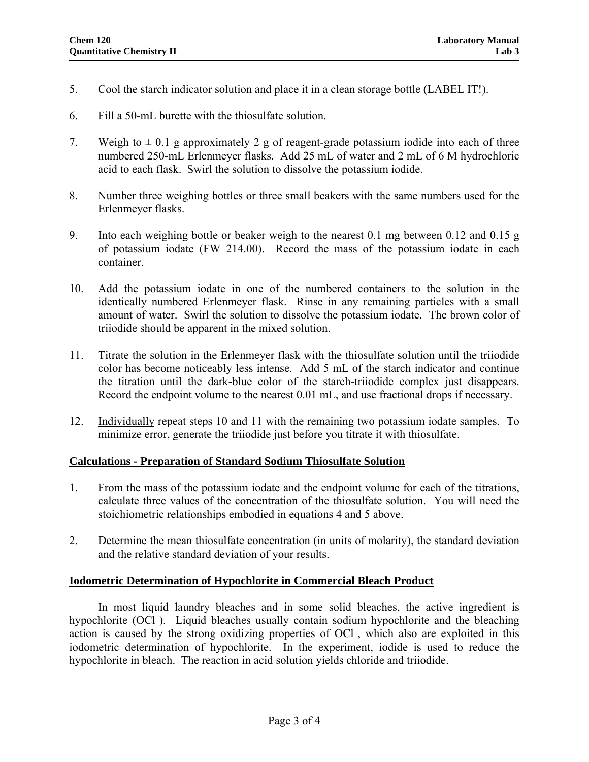- 5. Cool the starch indicator solution and place it in a clean storage bottle (LABEL IT!).
- 6. Fill a 50-mL burette with the thiosulfate solution.
- 7. Weigh to  $\pm$  0.1 g approximately 2 g of reagent-grade potassium iodide into each of three numbered 250-mL Erlenmeyer flasks. Add 25 mL of water and 2 mL of 6 M hydrochloric acid to each flask. Swirl the solution to dissolve the potassium iodide.
- 8. Number three weighing bottles or three small beakers with the same numbers used for the Erlenmeyer flasks.
- 9. Into each weighing bottle or beaker weigh to the nearest 0.1 mg between 0.12 and 0.15 g of potassium iodate (FW 214.00). Record the mass of the potassium iodate in each container.
- 10. Add the potassium iodate in one of the numbered containers to the solution in the identically numbered Erlenmeyer flask. Rinse in any remaining particles with a small amount of water. Swirl the solution to dissolve the potassium iodate. The brown color of triiodide should be apparent in the mixed solution.
- 11. Titrate the solution in the Erlenmeyer flask with the thiosulfate solution until the triiodide color has become noticeably less intense. Add 5 mL of the starch indicator and continue the titration until the dark-blue color of the starch-triiodide complex just disappears. Record the endpoint volume to the nearest 0.01 mL, and use fractional drops if necessary.
- 12. Individually repeat steps 10 and 11 with the remaining two potassium iodate samples. To minimize error, generate the triiodide just before you titrate it with thiosulfate.

## **Calculations - Preparation of Standard Sodium Thiosulfate Solution**

- 1. From the mass of the potassium iodate and the endpoint volume for each of the titrations, calculate three values of the concentration of the thiosulfate solution. You will need the stoichiometric relationships embodied in equations 4 and 5 above.
- 2. Determine the mean thiosulfate concentration (in units of molarity), the standard deviation and the relative standard deviation of your results.

#### **Iodometric Determination of Hypochlorite in Commercial Bleach Product**

In most liquid laundry bleaches and in some solid bleaches, the active ingredient is hypochlorite (OCl<sup>-</sup>). Liquid bleaches usually contain sodium hypochlorite and the bleaching action is caused by the strong oxidizing properties of OCl<sup>-</sup>, which also are exploited in this iodometric determination of hypochlorite. In the experiment, iodide is used to reduce the hypochlorite in bleach. The reaction in acid solution yields chloride and triiodide.